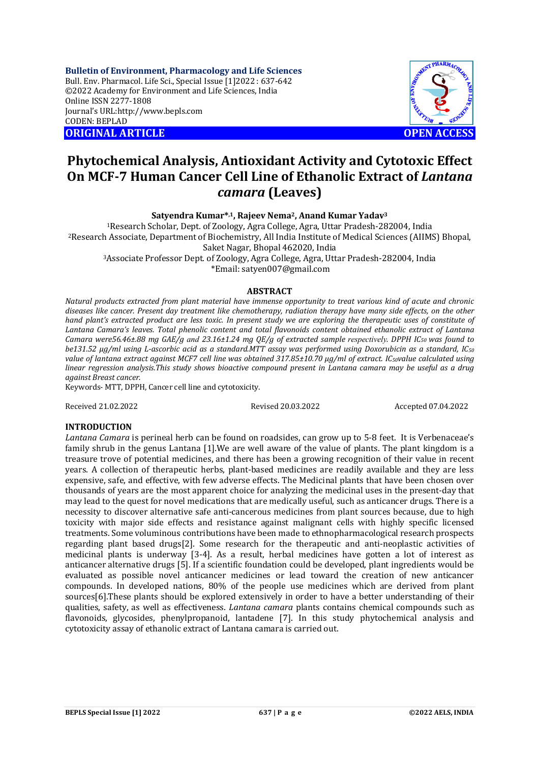**Bulletin of Environment, Pharmacology and Life Sciences** Bull. Env. Pharmacol. Life Sci., Special Issue [1]2022 : 637-642 ©2022 Academy for Environment and Life Sciences, India Online ISSN 2277-1808 Journal's URL:<http://www.bepls.com> CODEN: BEPLAD **ORIGINAL ARTICLE OPEN ACCESS** 



# **Phytochemical Analysis, Antioxidant Activity and Cytotoxic Effect On MCF-7 Human Cancer Cell Line of Ethanolic Extract of** *Lantana camara* **(Leaves)**

**Satyendra Kumar\*,1, Rajeev Nema2, Anand Kumar Yadav<sup>3</sup>**

<sup>1</sup>Research Scholar, Dept. of Zoology, Agra College, Agra, Uttar Pradesh-282004, India <sup>2</sup>Research Associate, Department of Biochemistry, All India Institute of Medical Sciences (AIIMS) Bhopal, Saket Nagar, Bhopal 462020, India

<sup>3</sup>Associate Professor Dept. of Zoology, Agra College, Agra, Uttar Pradesh-282004, India \*Email: [satyen007@gmail.com](mailto:satyen007@gmail.com)

## **ABSTRACT**

*Natural products extracted from plant material have immense opportunity to treat various kind of acute and chronic diseases like cancer. Present day treatment like chemotherapy, radiation therapy have many side effects, on the other hand plant's extracted product are less toxic. In present study we are exploring the therapeutic uses of constitute of Lantana Camara's leaves. Total phenolic content and total flavonoids content obtained ethanolic extract of Lantana Camara were56.46±.88 mg GAE/g and 23.16±1.24 mg QE/g of extracted sample respectively. DPPH IC50 was found to be131.52 µg/ml using L-ascorbic acid as a standard.MTT assay was performed using Doxorubicin as a standard, IC<sup>50</sup> value of lantana extract against MCF7 cell line was obtained 317.85±10.70 μg/ml of extract. IC50value calculated using linear regression analysis.This study shows bioactive compound present in Lantana camara may be useful as a drug against Breast cancer.* 

Keywords- MTT, DPPH, Cancer cell line and cytotoxicity.

Received 21.02.2022 Revised 20.03.2022 Accepted 07.04.2022

## **INTRODUCTION**

*Lantana Camara* is perineal herb can be found on roadsides, can grow up to 5-8 feet. It is Verbenaceae's family shrub in the genus Lantana [1].We are well aware of the value of plants. The plant kingdom is a treasure trove of potential medicines, and there has been a growing recognition of their value in recent years. A collection of therapeutic herbs, plant-based medicines are readily available and they are less expensive, safe, and effective, with few adverse effects. The Medicinal plants that have been chosen over thousands of years are the most apparent choice for analyzing the medicinal uses in the present-day that may lead to the quest for novel medications that are medically useful, such as anticancer drugs. There is a necessity to discover alternative safe anti-cancerous medicines from plant sources because, due to high toxicity with major side effects and resistance against malignant cells with highly specific licensed treatments. Some voluminous contributions have been made to ethnopharmacological research prospects regarding plant based drugs[2]. Some research for the therapeutic and anti-neoplastic activities of medicinal plants is underway [3-4]. As a result, herbal medicines have gotten a lot of interest as anticancer alternative drugs [5]. If a scientific foundation could be developed, plant ingredients would be evaluated as possible novel anticancer medicines or lead toward the creation of new anticancer compounds. In developed nations, 80% of the people use medicines which are derived from plant sources[6].These plants should be explored extensively in order to have a better understanding of their qualities, safety, as well as effectiveness. *Lantana camara* plants contains chemical compounds such as flavonoids, glycosides, phenylpropanoid, lantadene [7]. In this study phytochemical analysis and cytotoxicity assay of ethanolic extract of Lantana camara is carried out.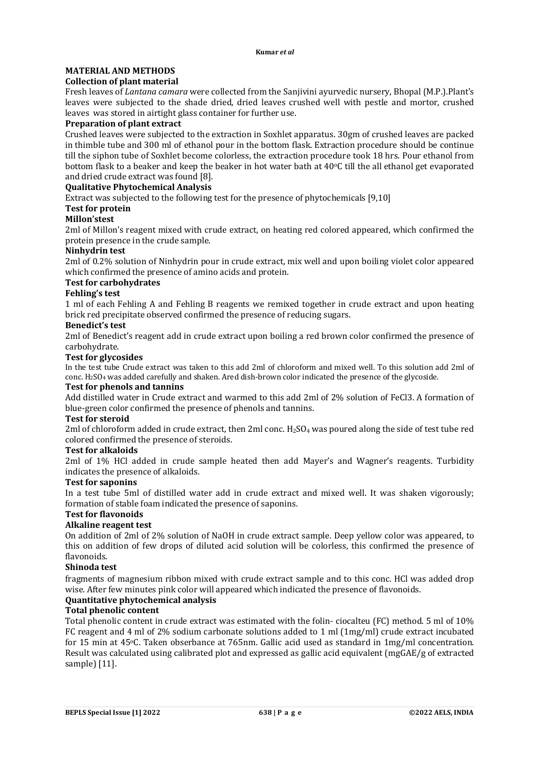# **MATERIAL AND METHODS**

## **Collection of plant material**

Fresh leaves of *Lantana camara* were collected from the Sanjivini ayurvedic nursery, Bhopal (M.P.).Plant's leaves were subjected to the shade dried, dried leaves crushed well with pestle and mortor, crushed leaves was stored in airtight glass container for further use.

## **Preparation of plant extract**

Crushed leaves were subjected to the extraction in Soxhlet apparatus. 30gm of crushed leaves are packed in thimble tube and 300 ml of ethanol pour in the bottom flask. Extraction procedure should be continue till the siphon tube of Soxhlet become colorless, the extraction procedure took 18 hrs. Pour ethanol from bottom flask to a beaker and keep the beaker in hot water bath at 40°C till the all ethanol get evaporated and dried crude extract was found [8].

## **Qualitative Phytochemical Analysis**

Extract was subjected to the following test for the presence of phytochemicals [9,10]

## **Test for protein**

## **Millon'stest**

2ml of Millon's reagent mixed with crude extract, on heating red colored appeared, which confirmed the protein presence in the crude sample.

## **Ninhydrin test**

2ml of 0.2% solution of Ninhydrin pour in crude extract, mix well and upon boiling violet color appeared which confirmed the presence of amino acids and protein.

## **Test for carbohydrates**

## **Fehling's test**

1 ml of each Fehling A and Fehling B reagents we remixed together in crude extract and upon heating brick red precipitate observed confirmed the presence of reducing sugars.

## **Benedict's test**

2ml of Benedict's reagent add in crude extract upon boiling a red brown color confirmed the presence of carbohydrate.

## **Test for glycosides**

In the test tube Crude extract was taken to this add 2ml of chloroform and mixed well. To this solution add 2ml of conc. H2SO<sup>4</sup> was added carefully and shaken. Ared dish-brown color indicated the presence of the glycoside.

## **Test for phenols and tannins**

Add distilled water in Crude extract and warmed to this add 2ml of 2% solution of FeCl3. A formation of blue-green color confirmed the presence of phenols and tannins.

## **Test for steroid**

2ml of chloroform added in crude extract, then 2ml conc. H<sub>2</sub>SO<sub>4</sub> was poured along the side of test tube red colored confirmed the presence of steroids.

## **Test for alkaloids**

2ml of 1% HCl added in crude sample heated then add Mayer's and Wagner's reagents. Turbidity indicates the presence of alkaloids.

## **Test for saponins**

In a test tube 5ml of distilled water add in crude extract and mixed well. It was shaken vigorously; formation of stable foam indicated the presence of saponins.

## **Test for flavonoids**

## **Alkaline reagent test**

On addition of 2ml of 2% solution of NaOH in crude extract sample. Deep yellow color was appeared, to this on addition of few drops of diluted acid solution will be colorless, this confirmed the presence of flavonoids.

## **Shinoda test**

fragments of magnesium ribbon mixed with crude extract sample and to this conc. HCl was added drop wise. After few minutes pink color will appeared which indicated the presence of flavonoids.

## **Quantitative phytochemical analysis**

## **Total phenolic content**

Total phenolic content in crude extract was estimated with the folin- ciocalteu (FC) method. 5 ml of 10% FC reagent and 4 ml of 2% sodium carbonate solutions added to 1 ml (1mg/ml) crude extract incubated for 15 min at 45oC. Taken obserbance at 765nm. Gallic acid used as standard in 1mg/ml concentration. Result was calculated using calibrated plot and expressed as gallic acid equivalent (mgGAE/g of extracted sample) [11].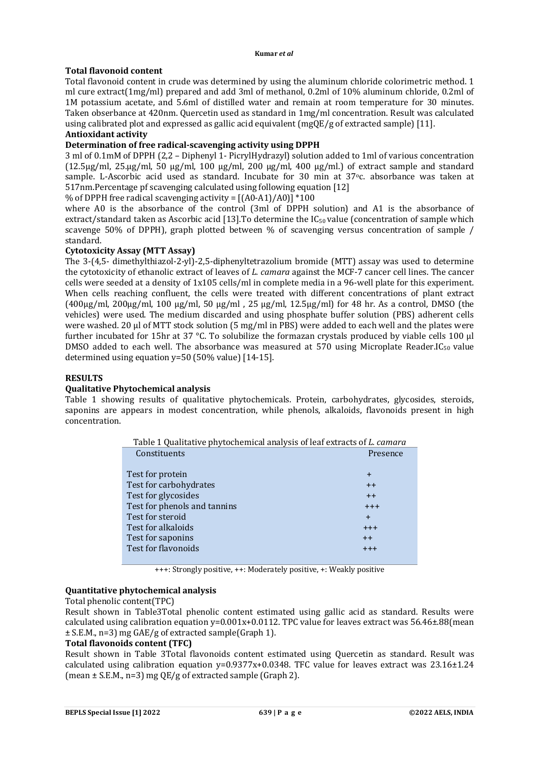## **Total flavonoid content**

Total flavonoid content in crude was determined by using the aluminum chloride colorimetric method. 1 ml cure extract(1mg/ml) prepared and add 3ml of methanol, 0.2ml of 10% aluminum chloride, 0.2ml of 1M potassium acetate, and 5.6ml of distilled water and remain at room temperature for 30 minutes. Taken obserbance at 420nm. Quercetin used as standard in 1mg/ml concentration. Result was calculated using calibrated plot and expressed as gallic acid equivalent (mgQE/g of extracted sample) [11].

## **Antioxidant activity**

## **Determination of free radical-scavenging activity using DPPH**

3 ml of 0.1mM of DPPH (2,2 – Diphenyl 1- PicrylHydrazyl) solution added to 1ml of various concentration  $(12.5\mu g/ml, 25\mu g/ml, 50 \mu g/ml, 100 \mu g/ml, 200 \mu g/ml, 400 \mu g/ml)$  of extract sample and standard sample. L-Ascorbic acid used as standard. Incubate for 30 min at 37°c. absorbance was taken at 517nm.Percentage pf scavenging calculated using following equation [12]

% of DPPH free radical scavenging activity =  $[(A0-A1)/A0]$  \*100

where A0 is the absorbance of the control (3ml of DPPH solution) and A1 is the absorbance of extract/standard taken as Ascorbic acid [13]. To determine the IC<sub>50</sub> value (concentration of sample which scavenge 50% of DPPH), graph plotted between % of scavenging versus concentration of sample / standard.

## **Cytotoxicity Assay (MTT Assay)**

The 3-(4,5- dimethylthiazol-2-yl)-2,5-diphenyltetrazolium bromide (MTT) assay was used to determine the cytotoxicity of ethanolic extract of leaves of *L. camara* against the MCF-7 cancer cell lines. The cancer cells were seeded at a density of 1x105 cells/ml in complete media in a 96-well plate for this experiment. When cells reaching confluent, the cells were treated with different concentrations of plant extract (400μg/ml, 200μg/ml, 100 μg/ml, 50 μg/ml , 25 μg/ml, 12.5μg/ml) for 48 hr. As a control, DMSO (the vehicles) were used. The medium discarded and using phosphate buffer solution (PBS) adherent cells were washed. 20 μl of MTT stock solution (5 mg/ml in PBS) were added to each well and the plates were further incubated for 15hr at 37 °C. To solubilize the formazan crystals produced by viable cells 100 μl DMSO added to each well. The absorbance was measured at 570 using Microplate Reader.IC<sub>50</sub> value determined using equation y=50 (50% value) [14-15].

## **RESULTS**

## **Qualitative Phytochemical analysis**

Table 1 showing results of qualitative phytochemicals. Protein, carbohydrates, glycosides, steroids, saponins are appears in modest concentration, while phenols, alkaloids, flavonoids present in high concentration.

| Table 1 Qualitative phytochemical analysis of leaf extracts of L. camara |           |  |  |  |  |
|--------------------------------------------------------------------------|-----------|--|--|--|--|
| Constituents                                                             | Presence  |  |  |  |  |
|                                                                          |           |  |  |  |  |
| Test for protein                                                         | $\ddot{}$ |  |  |  |  |
| Test for carbohydrates                                                   | $++$      |  |  |  |  |
| Test for glycosides                                                      | $++$      |  |  |  |  |
| Test for phenols and tannins                                             | $+ + +$   |  |  |  |  |
| Test for steroid                                                         | $\ddot{}$ |  |  |  |  |
| Test for alkaloids                                                       | $++++$    |  |  |  |  |
| Test for saponins                                                        | $++$      |  |  |  |  |
| Test for flavonoids                                                      | $+ + +$   |  |  |  |  |
|                                                                          |           |  |  |  |  |

+++: Strongly positive, ++: Moderately positive, +: Weakly positive

## **Quantitative phytochemical analysis**

## Total phenolic content(TPC)

Result shown in Table3Total phenolic content estimated using gallic acid as standard. Results were calculated using calibration equation  $y=0.001x+0.0112$ . TPC value for leaves extract was 56.46±.88(mean ± S.E.M., n=3) mg GAE/g of extracted sample(Graph 1).

## **Total flavonoids content (TFC)**

Result shown in Table 3Total flavonoids content estimated using Quercetin as standard. Result was calculated using calibration equation  $y=0.9377x+0.0348$ . TFC value for leaves extract was 23.16 $\pm$ 1.24 (mean ± S.E.M., n=3) mg QE/g of extracted sample (Graph 2).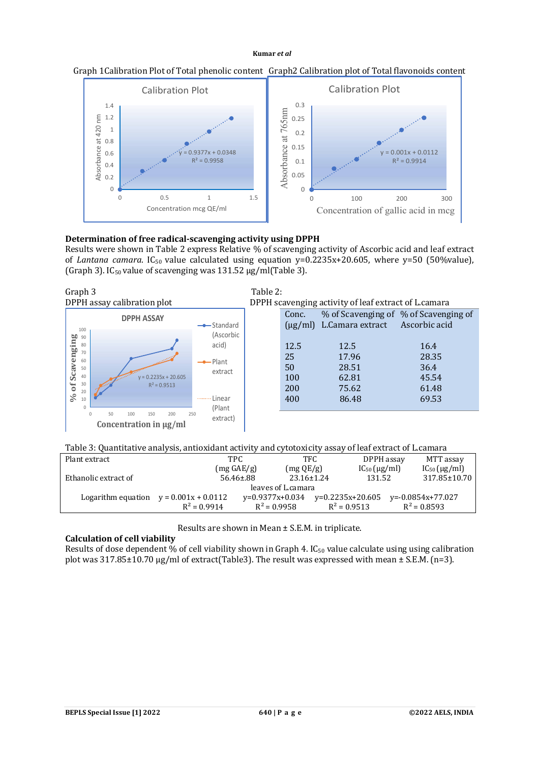



## **Determination of free radical-scavenging activity using DPPH**

Results were shown in Table 2 express Relative % of scavenging activity of Ascorbic acid and leaf extract of *Lantana camara*. IC<sub>50</sub> value calculated using equation y=0.2235x+20.605, where y=50 (50%value), (Graph 3). IC<sub>50</sub> value of scavenging was  $131.52 \mu$ g/ml(Table 3).



Table 3: Quantitative analysis, antioxidant activity and cytotoxicity assay of leaf extract of L.camara

| Plant extract        | TPC                                      |                                     | TFC.             |                    | DPPH assay              | MTT assay         |  |
|----------------------|------------------------------------------|-------------------------------------|------------------|--------------------|-------------------------|-------------------|--|
|                      | $(mg \angle E/g)$                        |                                     | (mg QE/g)        |                    | $IC_{50}$ ( $\mu$ g/ml) | $IC_{50}$ (µg/ml) |  |
| Ethanolic extract of |                                          | $56.46 \pm .88$                     | $23.16 \pm 1.24$ | 131.52             |                         | 317.85±10.70      |  |
|                      | leaves of L.camara                       |                                     |                  |                    |                         |                   |  |
|                      | Logarithm equation $y = 0.001x + 0.0112$ | $v=0.9377x+0.034$<br>$R^2 = 0.9958$ |                  | $v=0.2235x+20.605$ |                         | y=-0.0854x+77.027 |  |
|                      | $R^2 = 0.9914$                           |                                     |                  | $R^2 = 0.9513$     |                         | $R^2 = 0.8593$    |  |

Results are shown in Mean ± S.E.M. in triplicate.

## **Calculation of cell viability**

Results of dose dependent % of cell viability shown in Graph 4. IC<sub>50</sub> value calculate using using calibration plot was 317.85±10.70 μg/ml of extract(Table3). The result was expressed with mean ± S.E.M. (n=3).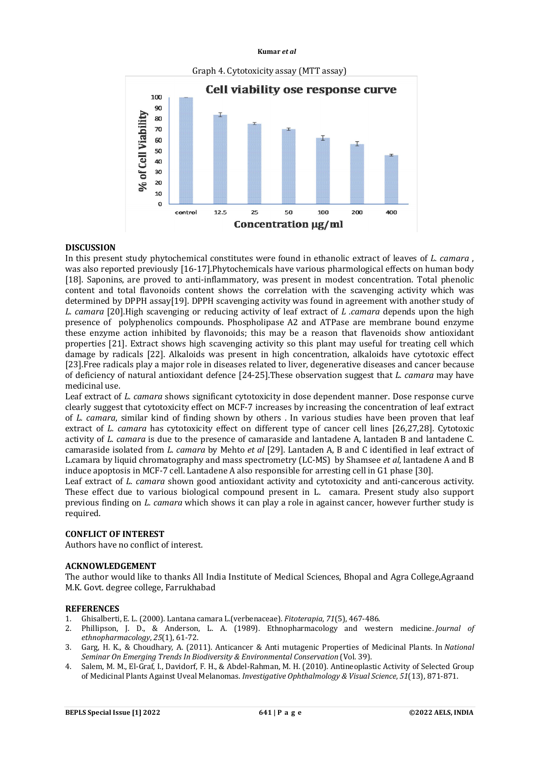

#### **DISCUSSION**

In this present study phytochemical constitutes were found in ethanolic extract of leaves of *L. camara* , was also reported previously [16-17].Phytochemicals have various pharmological effects on human body [18]. Saponins, are proved to anti-inflammatory, was present in modest concentration. Total phenolic content and total flavonoids content shows the correlation with the scavenging activity which was determined by DPPH assay[19]. DPPH scavenging activity was found in agreement with another study of *L. camara* [20].High scavenging or reducing activity of leaf extract of *L .camara* depends upon the high presence of polyphenolics compounds. Phospholipase A2 and ATPase are membrane bound enzyme these enzyme action inhibited by flavonoids; this may be a reason that flavenoids show antioxidant properties [21]. Extract shows high scavenging activity so this plant may useful for treating cell which damage by radicals [22]. Alkaloids was present in high concentration, alkaloids have cytotoxic effect [23].Free radicals play a major role in diseases related to liver, degenerative diseases and cancer because of deficiency of natural antioxidant defence [24-25].These observation suggest that *L. camara* may have medicinal use.

Leaf extract of *L. camara* shows significant cytotoxicity in dose dependent manner. Dose response curve clearly suggest that cytotoxicity effect on MCF-7 increases by increasing the concentration of leaf extract of *L. camara*, similar kind of finding shown by others . In various studies have been proven that leaf extract of *L. camara* has cytotoxicity effect on different type of cancer cell lines [26,27,28]. Cytotoxic activity of *L. camara* is due to the presence of camaraside and lantadene A, lantaden B and lantadene C. camaraside isolated from *L. camara* by Mehto *et al* [29]. Lantaden A, B and C identified in leaf extract of L.camara by liquid chromatography and mass spectrometry (LC-MS) by Shamsee *et al*, lantadene A and B induce apoptosis in MCF-7 cell. Lantadene A also responsible for arresting cell in G1 phase [30].

Leaf extract of *L. camara* shown good antioxidant activity and cytotoxicity and anti-cancerous activity. These effect due to various biological compound present in L. camara. Present study also support previous finding on *L. camara* which shows it can play a role in against cancer, however further study is required.

#### **CONFLICT OF INTEREST**

Authors have no conflict of interest.

#### **ACKNOWLEDGEMENT**

The author would like to thanks All India Institute of Medical Sciences, Bhopal and Agra College,Agraand M.K. Govt. degree college, Farrukhabad

#### **REFERENCES**

- 1. Ghisalberti, E. L. (2000). Lantana camara L.(verbenaceae). *Fitoterapia*, *71*(5), 467-486.
- 2. Phillipson, J. D., & Anderson, L. A. (1989). Ethnopharmacology and western medicine. *Journal of ethnopharmacology*, *25*(1), 61-72.
- 3. Garg, H. K., & Choudhary, A. (2011). Anticancer & Anti mutagenic Properties of Medicinal Plants. In *National Seminar On Emerging Trends In Biodiversity & Environmental Conservation* (Vol. 39).
- 4. Salem, M. M., El-Graf, I., Davidorf, F. H., & Abdel-Rahman, M. H. (2010). Antineoplastic Activity of Selected Group of Medicinal Plants Against Uveal Melanomas. *Investigative Ophthalmology & Visual Science*, *51*(13), 871-871.